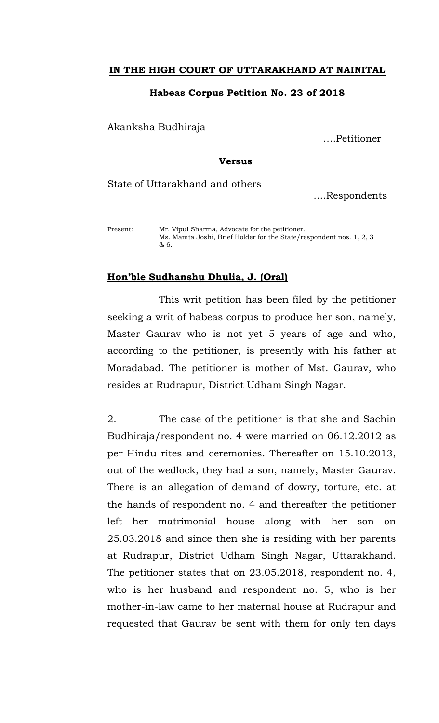## **IN THE HIGH COURT OF UTTARAKHAND AT NAINITAL**

## **Habeas Corpus Petition No. 23 of 2018**

Akanksha Budhiraja

….Petitioner

## **Versus**

State of Uttarakhand and others

….Respondents

Present: Mr. Vipul Sharma, Advocate for the petitioner. Ms. Mamta Joshi, Brief Holder for the State/respondent nos. 1, 2, 3 & 6.

## **Hon'ble Sudhanshu Dhulia, J. (Oral)**

 This writ petition has been filed by the petitioner seeking a writ of habeas corpus to produce her son, namely, Master Gaurav who is not yet 5 years of age and who, according to the petitioner, is presently with his father at Moradabad. The petitioner is mother of Mst. Gaurav, who resides at Rudrapur, District Udham Singh Nagar.

2. The case of the petitioner is that she and Sachin Budhiraja/respondent no. 4 were married on 06.12.2012 as per Hindu rites and ceremonies. Thereafter on 15.10.2013, out of the wedlock, they had a son, namely, Master Gaurav. There is an allegation of demand of dowry, torture, etc. at the hands of respondent no. 4 and thereafter the petitioner left her matrimonial house along with her son on 25.03.2018 and since then she is residing with her parents at Rudrapur, District Udham Singh Nagar, Uttarakhand. The petitioner states that on 23.05.2018, respondent no. 4, who is her husband and respondent no. 5, who is her mother-in-law came to her maternal house at Rudrapur and requested that Gaurav be sent with them for only ten days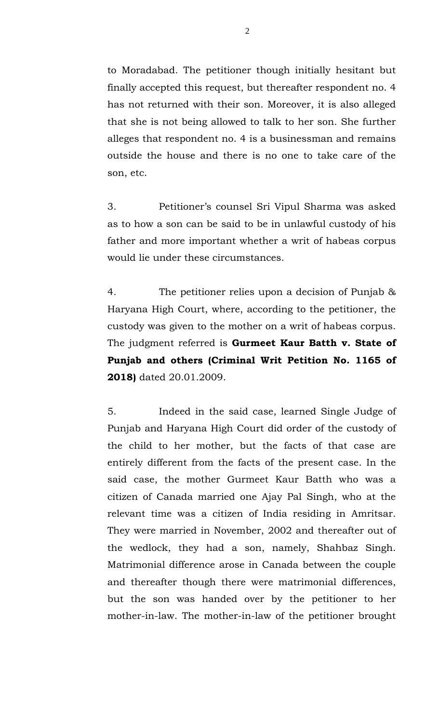to Moradabad. The petitioner though initially hesitant but finally accepted this request, but thereafter respondent no. 4 has not returned with their son. Moreover, it is also alleged that she is not being allowed to talk to her son. She further alleges that respondent no. 4 is a businessman and remains outside the house and there is no one to take care of the son, etc.

3. Petitioner's counsel Sri Vipul Sharma was asked as to how a son can be said to be in unlawful custody of his father and more important whether a writ of habeas corpus would lie under these circumstances.

4. The petitioner relies upon a decision of Punjab & Haryana High Court, where, according to the petitioner, the custody was given to the mother on a writ of habeas corpus. The judgment referred is **Gurmeet Kaur Batth v. State of Punjab and others (Criminal Writ Petition No. 1165 of 2018)** dated 20.01.2009.

5. Indeed in the said case, learned Single Judge of Punjab and Haryana High Court did order of the custody of the child to her mother, but the facts of that case are entirely different from the facts of the present case. In the said case, the mother Gurmeet Kaur Batth who was a citizen of Canada married one Ajay Pal Singh, who at the relevant time was a citizen of India residing in Amritsar. They were married in November, 2002 and thereafter out of the wedlock, they had a son, namely, Shahbaz Singh. Matrimonial difference arose in Canada between the couple and thereafter though there were matrimonial differences, but the son was handed over by the petitioner to her mother-in-law. The mother-in-law of the petitioner brought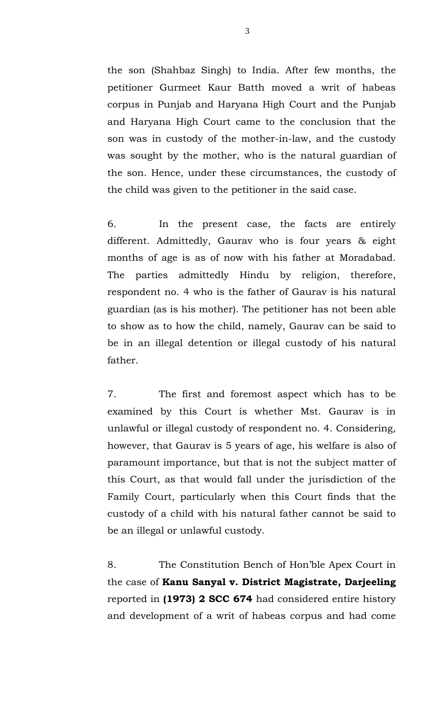the son (Shahbaz Singh) to India. After few months, the petitioner Gurmeet Kaur Batth moved a writ of habeas corpus in Punjab and Haryana High Court and the Punjab and Haryana High Court came to the conclusion that the son was in custody of the mother-in-law, and the custody was sought by the mother, who is the natural guardian of the son. Hence, under these circumstances, the custody of the child was given to the petitioner in the said case.

6. In the present case, the facts are entirely different. Admittedly, Gaurav who is four years & eight months of age is as of now with his father at Moradabad. The parties admittedly Hindu by religion, therefore, respondent no. 4 who is the father of Gaurav is his natural guardian (as is his mother). The petitioner has not been able to show as to how the child, namely, Gaurav can be said to be in an illegal detention or illegal custody of his natural father.

7. The first and foremost aspect which has to be examined by this Court is whether Mst. Gaurav is in unlawful or illegal custody of respondent no. 4. Considering, however, that Gaurav is 5 years of age, his welfare is also of paramount importance, but that is not the subject matter of this Court, as that would fall under the jurisdiction of the Family Court, particularly when this Court finds that the custody of a child with his natural father cannot be said to be an illegal or unlawful custody.

8. The Constitution Bench of Hon'ble Apex Court in the case of **Kanu Sanyal v. District Magistrate, Darjeeling**  reported in **(1973) 2 SCC 674** had considered entire history and development of a writ of habeas corpus and had come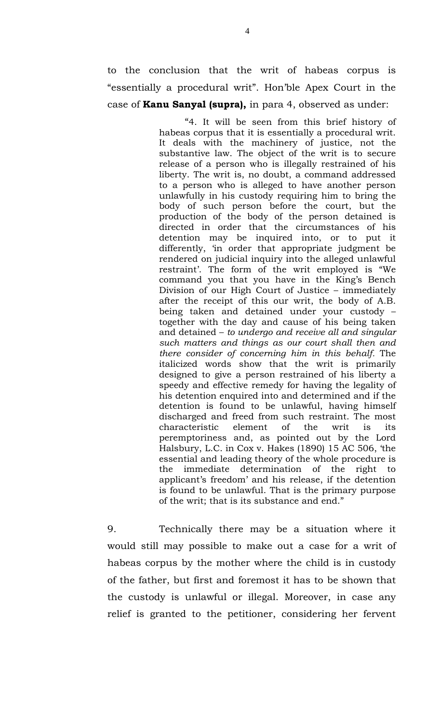to the conclusion that the writ of habeas corpus is "essentially a procedural writ". Hon'ble Apex Court in the case of **Kanu Sanyal (supra),** in para 4, observed as under:

> "4. It will be seen from this brief history of habeas corpus that it is essentially a procedural writ. It deals with the machinery of justice, not the substantive law. The object of the writ is to secure release of a person who is illegally restrained of his liberty. The writ is, no doubt, a command addressed to a person who is alleged to have another person unlawfully in his custody requiring him to bring the body of such person before the court, but the production of the body of the person detained is directed in order that the circumstances of his detention may be inquired into, or to put it differently, 'in order that appropriate judgment be rendered on judicial inquiry into the alleged unlawful restraint'. The form of the writ employed is "We command you that you have in the King's Bench Division of our High Court of Justice – immediately after the receipt of this our writ, the body of A.B. being taken and detained under your custody – together with the day and cause of his being taken and detained – *to undergo and receive all and singular such matters and things as our court shall then and there consider of concerning him in this behalf.* The italicized words show that the writ is primarily designed to give a person restrained of his liberty a speedy and effective remedy for having the legality of his detention enquired into and determined and if the detention is found to be unlawful, having himself discharged and freed from such restraint. The most characteristic element of the writ is its peremptoriness and, as pointed out by the Lord Halsbury, L.C. in Cox v. Hakes (1890) 15 AC 506, 'the essential and leading theory of the whole procedure is the immediate determination of the right applicant's freedom' and his release, if the detention is found to be unlawful. That is the primary purpose of the writ; that is its substance and end."

9. Technically there may be a situation where it would still may possible to make out a case for a writ of habeas corpus by the mother where the child is in custody of the father, but first and foremost it has to be shown that the custody is unlawful or illegal. Moreover, in case any relief is granted to the petitioner, considering her fervent